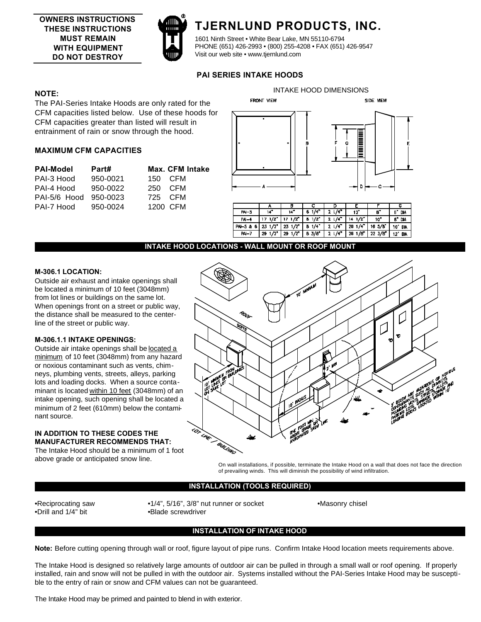

# **TJERNLUND PRODUCTS, INC.**

1601 Ninth Street • White Bear Lake, MN 55110-6794 PHONE (651) 426-2993 • (800) 255-4208 • FAX (651) 426-9547 Visit our web site • www.tjernlund.com

## **PAI SERIES INTAKE HOODS**

## **NOTE:**

The PAI-Series Intake Hoods are only rated for the CFM capacities listed below. Use of these hoods for CFM capacities greater than listed will result in entrainment of rain or snow through the hood.

## **MAXIMUM CFM CAPACITIES**

| <b>PAI-Model</b> | Part#    |         | <b>Max. CFM Intake</b> |
|------------------|----------|---------|------------------------|
| PAI-3 Hood       | 950-0021 |         | 150 CFM                |
| PAI-4 Hood       | 950-0022 | 250 CFM |                        |
| PAI-5/6 Hood     | 950-0023 | 725 CFM |                        |
| PAI-7 Hood       | 950-0024 |         | 1200 CFM               |



INTAKE HOOD DIMENSIONS

|           |                  | В                | с             |                      |                      |                 | Б                 |
|-----------|------------------|------------------|---------------|----------------------|----------------------|-----------------|-------------------|
| PA-3      | 14"              | $14^{\circ}$     | 1/4<br>6      | $1/4$ <sup>2</sup>   | 12                   | в.              | П.<br>DИ          |
| $PA-4$    | 171/z            | 17.1/Z           | 3/2           | $2.1/4$ <sup>*</sup> | $14 \frac{1}{2}$     | 10 <sup>2</sup> | g"<br><b>DA</b>   |
| PAI-5 & 6 | $23 \frac{1}{2}$ | $23 \frac{1}{2}$ | $B = 1/4$     | $21/4$ <sup>*</sup>  | $201/4$ <sup>*</sup> | 16.5/B''        | 10"<br><b>DIA</b> |
| $M - 7$   | 1/2<br>29        | 1/2<br>29        | <b>B</b> 3/8" | 2.14 <sup>2</sup>    | - 79°<br>28.1        | 22.3/E''        | 12"<br><b>DK</b>  |
|           |                  |                  |               |                      |                      |                 |                   |

#### **INTAKE HOOD LOCATIONS - WALL MOUNT OR ROOF MOUNT**

#### **M-306.1 LOCATION:**

Outside air exhaust and intake openings shall be located a minimum of 10 feet (3048mm) from lot lines or buildings on the same lot. When openings front on a street or public way, the distance shall be measured to the centerline of the street or public way.

## **M-306.1.1 INTAKE OPENINGS:**

Outside air intake openings shall be located a minimum of 10 feet (3048mm) from any hazard or noxious contaminant such as vents, chimneys, plumbing vents, streets, alleys, parking lots and loading docks. When a source contaminant is located within 10 feet (3048mm) of an intake opening, such opening shall be located a minimum of 2 feet (610mm) below the contaminant source.

#### **IN ADDITION TO THESE CODES THE MANUFACTURER RECOMMENDS THAT:**

The Intake Hood should be a minimum of 1 foot above grade or anticipated snow line.



On wall installations, if possible, terminate the Intake Hood on a wall that does not face the direction of prevailing winds. This will diminish the possibility of wind infiltration.

#### **INSTALLATION (TOOLS REQUIRED)**

•Drill and 1/4" bit •Blade screwdriver

•Reciprocating saw •1/4", 5/16", 3/8" nut runner or socket •Masonry chisel

### **INSTALLATION OF INTAKE HOOD**

**Note:** Before cutting opening through wall or roof, figure layout of pipe runs. Confirm Intake Hood location meets requirements above.

The Intake Hood is designed so relatively large amounts of outdoor air can be pulled in through a small wall or roof opening. If properly installed, rain and snow will not be pulled in with the outdoor air. Systems installed without the PAI-Series Intake Hood may be susceptible to the entry of rain or snow and CFM values can not be guaranteed.

The Intake Hood may be primed and painted to blend in with exterior.